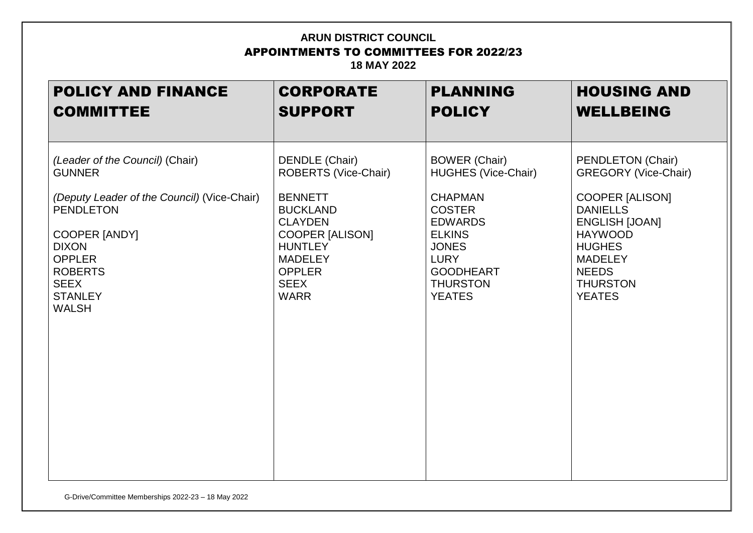| <b>POLICY AND FINANCE</b>                   | <b>CORPORATE</b>       | <b>PLANNING</b>            | <b>HOUSING AND</b>          |
|---------------------------------------------|------------------------|----------------------------|-----------------------------|
| <b>COMMITTEE</b>                            | <b>SUPPORT</b>         | <b>POLICY</b>              | <b>WELLBEING</b>            |
| (Leader of the Council) (Chair)             | DENDLE (Chair)         | <b>BOWER (Chair)</b>       | PENDLETON (Chair)           |
| <b>GUNNER</b>                               | ROBERTS (Vice-Chair)   | <b>HUGHES (Vice-Chair)</b> | <b>GREGORY (Vice-Chair)</b> |
| (Deputy Leader of the Council) (Vice-Chair) | <b>BENNETT</b>         | <b>CHAPMAN</b>             | <b>COOPER [ALISON]</b>      |
| <b>PENDLETON</b>                            | <b>BUCKLAND</b>        | <b>COSTER</b>              | <b>DANIELLS</b>             |
| <b>COOPER [ANDY]</b>                        | <b>CLAYDEN</b>         | <b>EDWARDS</b>             | <b>ENGLISH [JOAN]</b>       |
| <b>DIXON</b>                                | <b>COOPER [ALISON]</b> | <b>ELKINS</b>              | <b>HAYWOOD</b>              |
| <b>OPPLER</b>                               | <b>HUNTLEY</b>         | <b>JONES</b>               | <b>HUGHES</b>               |
| <b>ROBERTS</b>                              | <b>MADELEY</b>         | <b>LURY</b>                | <b>MADELEY</b>              |
| <b>SEEX</b>                                 | <b>OPPLER</b>          | <b>GOODHEART</b>           | <b>NEEDS</b>                |
| <b>STANLEY</b>                              | <b>SEEX</b>            | <b>THURSTON</b>            | <b>THURSTON</b>             |
| <b>WALSH</b>                                | <b>WARR</b>            | <b>YEATES</b>              | <b>YEATES</b>               |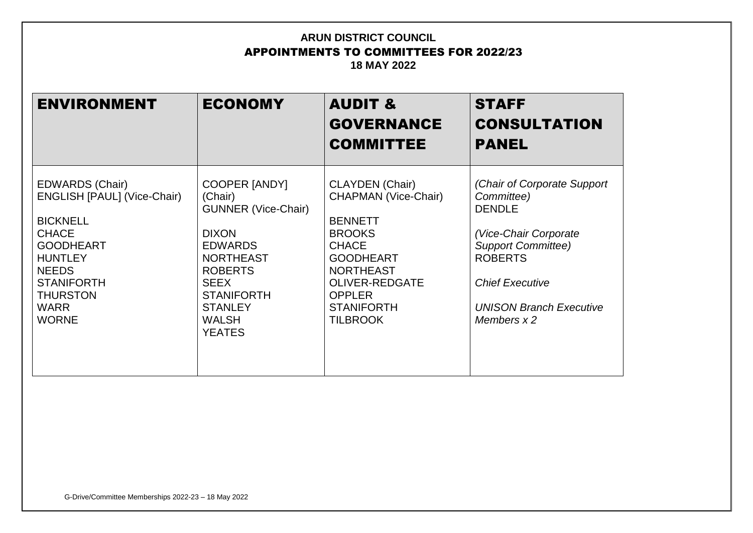| <b>ENVIRONMENT</b>                                                                                                                                                                                                           | <b>ECONOMY</b>                                                                                                                                                                                                               | <b>AUDIT &amp;</b><br><b>GOVERNANCE</b><br><b>COMMITTEE</b>                                                                                                                                                                        | <b>STAFF</b><br><b>CONSULTATION</b><br><b>PANEL</b>                                                                                                                                                              |
|------------------------------------------------------------------------------------------------------------------------------------------------------------------------------------------------------------------------------|------------------------------------------------------------------------------------------------------------------------------------------------------------------------------------------------------------------------------|------------------------------------------------------------------------------------------------------------------------------------------------------------------------------------------------------------------------------------|------------------------------------------------------------------------------------------------------------------------------------------------------------------------------------------------------------------|
| <b>EDWARDS (Chair)</b><br><b>ENGLISH [PAUL] (Vice-Chair)</b><br><b>BICKNELL</b><br><b>CHACE</b><br><b>GOODHEART</b><br><b>HUNTLEY</b><br><b>NEEDS</b><br><b>STANIFORTH</b><br><b>THURSTON</b><br><b>WARR</b><br><b>WORNE</b> | <b>COOPER [ANDY]</b><br>(Chair)<br><b>GUNNER (Vice-Chair)</b><br><b>DIXON</b><br><b>EDWARDS</b><br><b>NORTHEAST</b><br><b>ROBERTS</b><br><b>SEEX</b><br><b>STANIFORTH</b><br><b>STANLEY</b><br><b>WALSH</b><br><b>YEATES</b> | <b>CLAYDEN</b> (Chair)<br><b>CHAPMAN (Vice-Chair)</b><br><b>BENNETT</b><br><b>BROOKS</b><br><b>CHACE</b><br><b>GOODHEART</b><br><b>NORTHEAST</b><br><b>OLIVER-REDGATE</b><br><b>OPPLER</b><br><b>STANIFORTH</b><br><b>TILBROOK</b> | (Chair of Corporate Support)<br>Committee)<br><b>DENDLE</b><br>(Vice-Chair Corporate<br><b>Support Committee)</b><br><b>ROBERTS</b><br><b>Chief Executive</b><br><b>UNISON Branch Executive</b><br>Members $x$ 2 |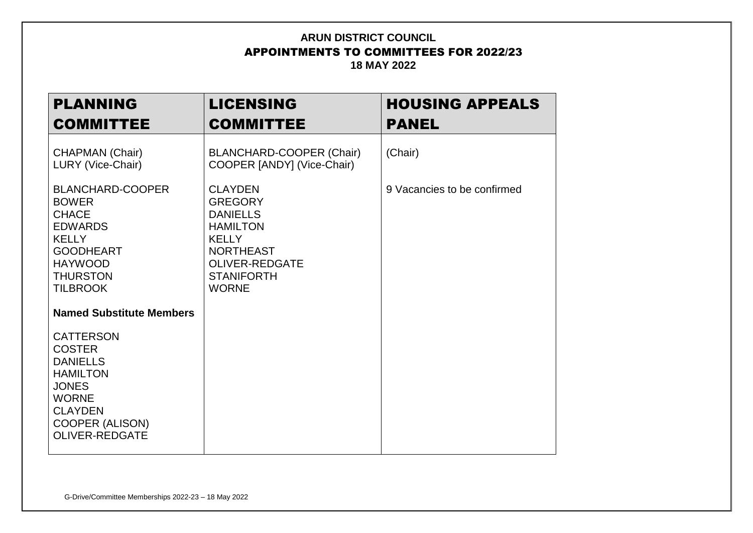| <b>PLANNING</b><br><b>COMMITTEE</b>                                                                                                                                                                             | <b>LICENSING</b><br><b>COMMITTEE</b>                                                                                                                                     | <b>HOUSING APPEALS</b><br><b>PANEL</b> |
|-----------------------------------------------------------------------------------------------------------------------------------------------------------------------------------------------------------------|--------------------------------------------------------------------------------------------------------------------------------------------------------------------------|----------------------------------------|
| <b>CHAPMAN (Chair)</b><br>LURY (Vice-Chair)                                                                                                                                                                     | <b>BLANCHARD-COOPER (Chair)</b><br>COOPER [ANDY] (Vice-Chair)                                                                                                            | (Chair)                                |
| <b>BLANCHARD-COOPER</b><br><b>BOWER</b><br><b>CHACE</b><br><b>EDWARDS</b><br><b>KELLY</b><br><b>GOODHEART</b><br><b>HAYWOOD</b><br><b>THURSTON</b><br><b>TILBROOK</b>                                           | <b>CLAYDEN</b><br><b>GREGORY</b><br><b>DANIELLS</b><br><b>HAMILTON</b><br><b>KELLY</b><br><b>NORTHEAST</b><br><b>OLIVER-REDGATE</b><br><b>STANIFORTH</b><br><b>WORNE</b> | 9 Vacancies to be confirmed            |
| <b>Named Substitute Members</b><br><b>CATTERSON</b><br><b>COSTER</b><br><b>DANIELLS</b><br><b>HAMILTON</b><br><b>JONES</b><br><b>WORNE</b><br><b>CLAYDEN</b><br><b>COOPER (ALISON)</b><br><b>OLIVER-REDGATE</b> |                                                                                                                                                                          |                                        |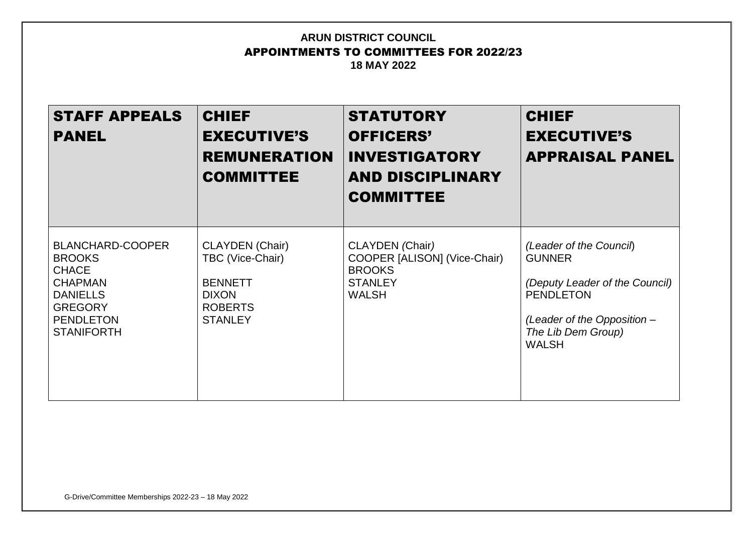| <b>STAFF APPEALS</b><br><b>PANEL</b>                                                                                                                     | <b>CHIEF</b><br><b>EXECUTIVE'S</b><br><b>REMUNERATION</b><br><b>COMMITTEE</b>                                    | <b>STATUTORY</b><br><b>OFFICERS'</b><br><b>INVESTIGATORY</b><br><b>AND DISCIPLINARY</b><br><b>COMMITTEE</b> | <b>CHIEF</b><br><b>EXECUTIVE'S</b><br><b>APPRAISAL PANEL</b>                                                                                                        |
|----------------------------------------------------------------------------------------------------------------------------------------------------------|------------------------------------------------------------------------------------------------------------------|-------------------------------------------------------------------------------------------------------------|---------------------------------------------------------------------------------------------------------------------------------------------------------------------|
| <b>BLANCHARD-COOPER</b><br><b>BROOKS</b><br><b>CHACE</b><br><b>CHAPMAN</b><br><b>DANIELLS</b><br><b>GREGORY</b><br><b>PENDLETON</b><br><b>STANIFORTH</b> | <b>CLAYDEN</b> (Chair)<br>TBC (Vice-Chair)<br><b>BENNETT</b><br><b>DIXON</b><br><b>ROBERTS</b><br><b>STANLEY</b> | CLAYDEN (Chair)<br>COOPER [ALISON] (Vice-Chair)<br><b>BROOKS</b><br><b>STANLEY</b><br><b>WALSH</b>          | (Leader of the Council)<br><b>GUNNER</b><br>(Deputy Leader of the Council)<br><b>PENDLETON</b><br>(Leader of the Opposition -<br>The Lib Dem Group)<br><b>WALSH</b> |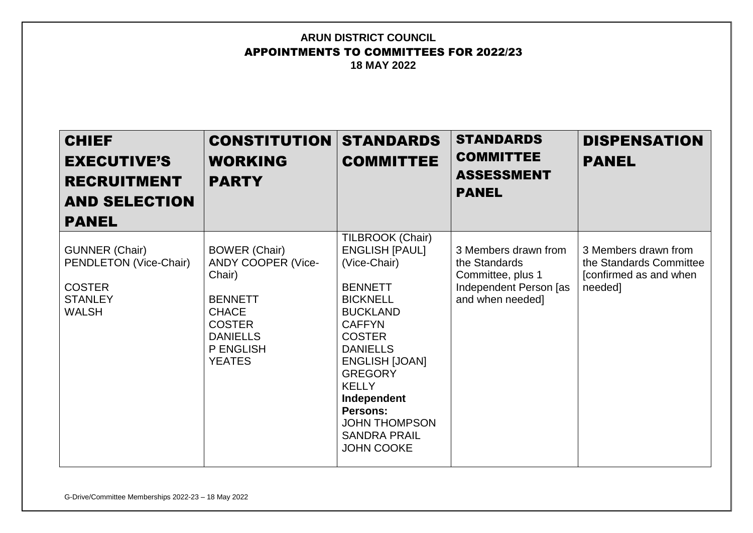| <b>CHIEF</b><br><b>EXECUTIVE'S</b><br><b>RECRUITMENT</b><br><b>AND SELECTION</b><br><b>PANEL</b>   | <b>CONSTITUTION</b><br><b>WORKING</b><br><b>PARTY</b>                                                                                                                  | <b>STANDARDS</b><br><b>COMMITTEE</b>                                                                                                                                                                                                                                                                                             | <b>STANDARDS</b><br><b>COMMITTEE</b><br><b>ASSESSMENT</b><br><b>PANEL</b>                                | <b>DISPENSATION</b><br><b>PANEL</b>                                                   |
|----------------------------------------------------------------------------------------------------|------------------------------------------------------------------------------------------------------------------------------------------------------------------------|----------------------------------------------------------------------------------------------------------------------------------------------------------------------------------------------------------------------------------------------------------------------------------------------------------------------------------|----------------------------------------------------------------------------------------------------------|---------------------------------------------------------------------------------------|
| <b>GUNNER (Chair)</b><br>PENDLETON (Vice-Chair)<br><b>COSTER</b><br><b>STANLEY</b><br><b>WALSH</b> | <b>BOWER (Chair)</b><br><b>ANDY COOPER (Vice-</b><br>Chair)<br><b>BENNETT</b><br><b>CHACE</b><br><b>COSTER</b><br><b>DANIELLS</b><br><b>P ENGLISH</b><br><b>YEATES</b> | TILBROOK (Chair)<br><b>ENGLISH [PAUL]</b><br>(Vice-Chair)<br><b>BENNETT</b><br><b>BICKNELL</b><br><b>BUCKLAND</b><br><b>CAFFYN</b><br><b>COSTER</b><br><b>DANIELLS</b><br><b>ENGLISH [JOAN]</b><br><b>GREGORY</b><br><b>KELLY</b><br>Independent<br>Persons:<br><b>JOHN THOMPSON</b><br><b>SANDRA PRAIL</b><br><b>JOHN COOKE</b> | 3 Members drawn from<br>the Standards<br>Committee, plus 1<br>Independent Person [as<br>and when needed] | 3 Members drawn from<br>the Standards Committee<br>[confirmed as and when]<br>needed] |